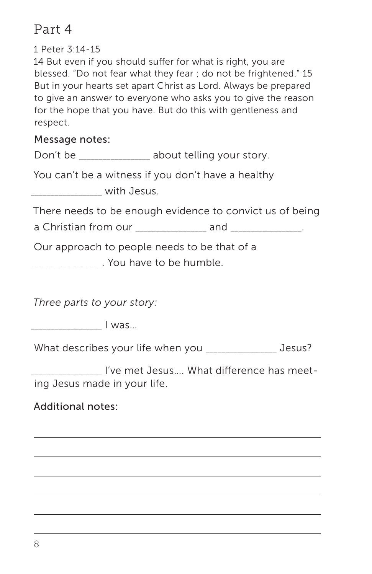# Part 4

1 Peter 3:14-15

14 But even if you should suffer for what is right, you are blessed. "Do not fear what they fear ; do not be frightened." 15 But in your hearts set apart Christ as Lord. Always be prepared to give an answer to everyone who asks you to give the reason for the hope that you have. But do this with gentleness and respect.

#### Message notes:

Don't be \_\_\_\_\_\_\_\_\_\_\_\_\_\_\_\_ about telling your story.

You can't be a witness if you don't have a healthy

\_\_\_\_\_\_\_\_\_\_\_\_\_\_\_\_\_\_ with Jesus.

There needs to be enough evidence to convict us of being

a Christian from our \_\_\_\_\_\_\_\_\_\_\_\_\_\_\_\_\_\_ and \_\_\_\_\_\_\_\_\_\_\_\_\_\_\_\_\_\_.

Our approach to people needs to be that of a

\_\_\_\_\_\_\_\_\_\_\_\_\_\_\_\_\_\_. You have to be humble.

*Three parts to your story:*

 $\Box$ 

What describes your life when you \_\_\_\_\_\_\_\_\_\_\_\_\_\_\_\_\_ Jesus?

I've met Jesus... What difference has meeting Jesus made in your life.

### Additional notes: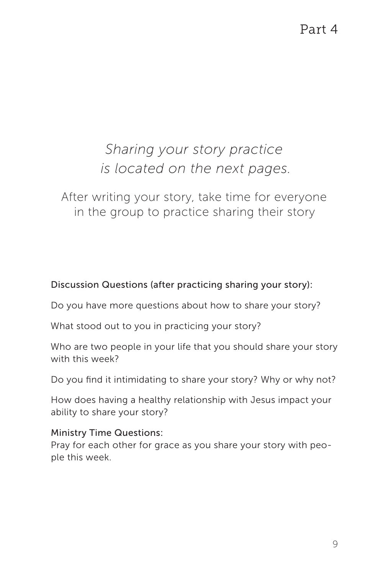Part 4

# *Sharing your story practice is located on the next pages.*

After writing your story, take time for everyone in the group to practice sharing their story

Discussion Questions (after practicing sharing your story):

Do you have more questions about how to share your story?

What stood out to you in practicing your story?

Who are two people in your life that you should share your story with this week?

Do you find it intimidating to share your story? Why or why not?

How does having a healthy relationship with Jesus impact your ability to share your story?

#### Ministry Time Questions:

Pray for each other for grace as you share your story with people this week.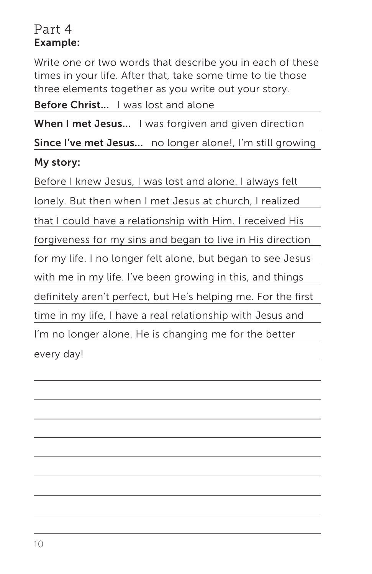### Part 4 Example:

Write one or two words that describe you in each of these times in your life. After that, take some time to tie those three elements together as you write out your story.

Before Christ... I was lost and alone

When I met Jesus... I was forgiven and given direction

Since I've met Jesus... no longer alone!, I'm still growing

### My story:

Before I knew Jesus, I was lost and alone. I always felt lonely. But then when I met Jesus at church, I realized that I could have a relationship with Him. I received His forgiveness for my sins and began to live in His direction for my life. I no longer felt alone, but began to see Jesus with me in my life. I've been growing in this, and things definitely aren't perfect, but He's helping me. For the first time in my life, I have a real relationship with Jesus and I'm no longer alone. He is changing me for the better every day!